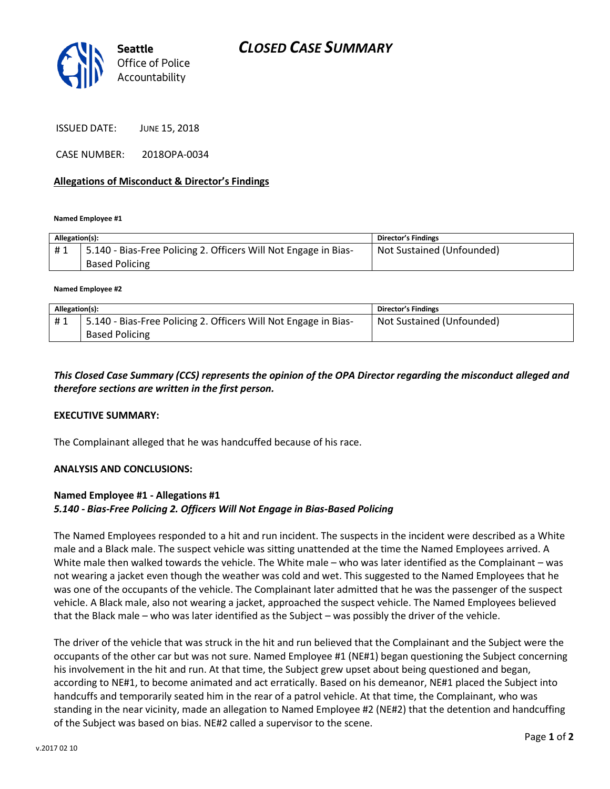

ISSUED DATE: JUNE 15, 2018

CASE NUMBER: 2018OPA-0034

### **Allegations of Misconduct & Director's Findings**

**Named Employee #1**

| Allegation(s): |                                                                                          | <b>Director's Findings</b> |
|----------------|------------------------------------------------------------------------------------------|----------------------------|
| #1             | 5.140 - Bias-Free Policing 2. Officers Will Not Engage in Bias-<br><b>Based Policing</b> | Not Sustained (Unfounded)  |

**Named Employee #2**

| Allegation(s): |                                                                 | <b>Director's Findings</b> |
|----------------|-----------------------------------------------------------------|----------------------------|
| #1             | 5.140 - Bias-Free Policing 2. Officers Will Not Engage in Bias- | Not Sustained (Unfounded)  |
|                | <b>Based Policing</b>                                           |                            |

## *This Closed Case Summary (CCS) represents the opinion of the OPA Director regarding the misconduct alleged and therefore sections are written in the first person.*

#### **EXECUTIVE SUMMARY:**

The Complainant alleged that he was handcuffed because of his race.

#### **ANALYSIS AND CONCLUSIONS:**

### **Named Employee #1 - Allegations #1**  *5.140 - Bias-Free Policing 2. Officers Will Not Engage in Bias-Based Policing*

The Named Employees responded to a hit and run incident. The suspects in the incident were described as a White male and a Black male. The suspect vehicle was sitting unattended at the time the Named Employees arrived. A White male then walked towards the vehicle. The White male – who was later identified as the Complainant – was not wearing a jacket even though the weather was cold and wet. This suggested to the Named Employees that he was one of the occupants of the vehicle. The Complainant later admitted that he was the passenger of the suspect vehicle. A Black male, also not wearing a jacket, approached the suspect vehicle. The Named Employees believed that the Black male – who was later identified as the Subject – was possibly the driver of the vehicle.

The driver of the vehicle that was struck in the hit and run believed that the Complainant and the Subject were the occupants of the other car but was not sure. Named Employee #1 (NE#1) began questioning the Subject concerning his involvement in the hit and run. At that time, the Subject grew upset about being questioned and began, according to NE#1, to become animated and act erratically. Based on his demeanor, NE#1 placed the Subject into handcuffs and temporarily seated him in the rear of a patrol vehicle. At that time, the Complainant, who was standing in the near vicinity, made an allegation to Named Employee #2 (NE#2) that the detention and handcuffing of the Subject was based on bias. NE#2 called a supervisor to the scene.